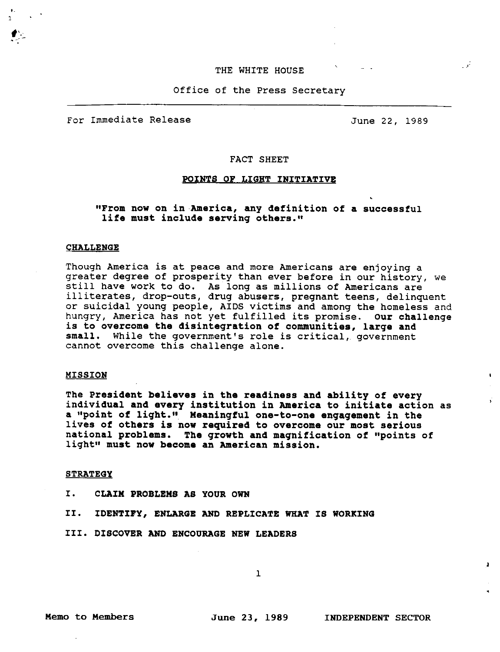## THE WHITE HOUSE

## Office of the Press Secretary

For Immediate Release and Tune 22, 1989

 $\mathbb{R}^{2}$ 

 $\mathbf{L}$ 

 $\mathbf{r}$ 

### FACT SHEET

### **POINTS OF LIGHT INITIATIVE**

**"From now on in America, any definition of a successful life must include serving others."** 

### **CHALLENGE**

,.  $\frac{1}{2}$ 

> Though America is at peace and more Americans are enjoying a greater degree of prosperity than ever before in our history, we still have work to do. As long as millions of Americans are illiterates, drop-outs, drug abusers, pregnant teens, delinque or suicidal young people, AIDS victims and among the homeless and hungry, America has not yet fulfilled its promise. **our challenge is to overcome the disintegration of communities, large and small.** While the government's role is critical, government cannot overcome this challenge alone.

#### **MISSION**

The President **believes** in the **readiness and** ability of every individual **and every** institution in **America** to initiate action as a "point of light." Meaningful one-to-one engagement in the lives of others is now required to overcome our most serious national problems. The growth and magnification of "points of light" must now **become** an American mission.

### STRATEGY

I. CLAIM PROBLEMS AS YOUR OWN

II. IDENTIFY, ENLARGE AND REPLICATE WHAT IS WORKING

III. DISCOVER AND ENCOURAGE NEW LEADERS

1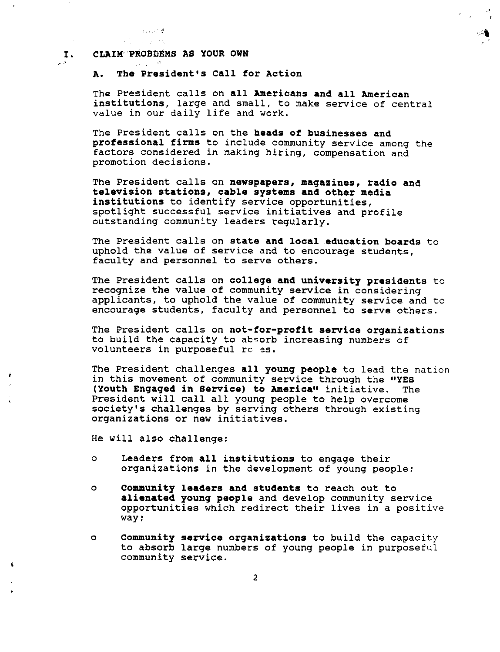าระดับวิจั  $\mathcal{A}=\mathcal{B}+\mathcal{B}$  is

 $\sim 10^{11}$  and  $\sim 10^{11}$ 

# I. CLAIM PROBLEMS AS YOUR OWN

# **A. The President's Call for Action**

The President calls on **all Americans and all American institutions,** large and small, to make service of central value in our daily life and work.

.,

 $\rightarrow$ 

The President calls on the **heads of businesses and professional firms** to include community service among the factors considered in making hiring, compensation and promotion decisions.

The President calls on **newspapers, magazines, radio and television stations, cable systems and other media institutions** to identify service opportunities, spotlight successful service initiatives and profile outstanding community leaders regularly.

The President calls on **state and local .education boards** to uphold the value of service and to encourage students, faculty and personnel to serve others.

The President calls on **college and university presidents** to recognize the value of community service in considering applicants, to uphold the value of community service and to encourage students, faculty and personnel to serve others.

The President calls on **not-for-profit service organizations**  to build the capacity to absorb increasing numbers of volunteers in purposeful rc es.

The President challenges **all young people** to lead the nation in this movement of community service through the **11YES (Youth Engaged in service) to America"** initiative. The President will call all young people to help overcome society's challenges by serving others through existing organizations or new initiatives.

He will also challenge:

 $\mathbf{t}$ 

- o Leaders from **all institutions** to engage their organizations in the development of young people;
- **community leaders and students to reach out to alienated young people** and develop community service opportunities which redirect their lives in a positive way;
- **community service organizations** to build the capacity to absorb large numbers of young people in purposeful community service.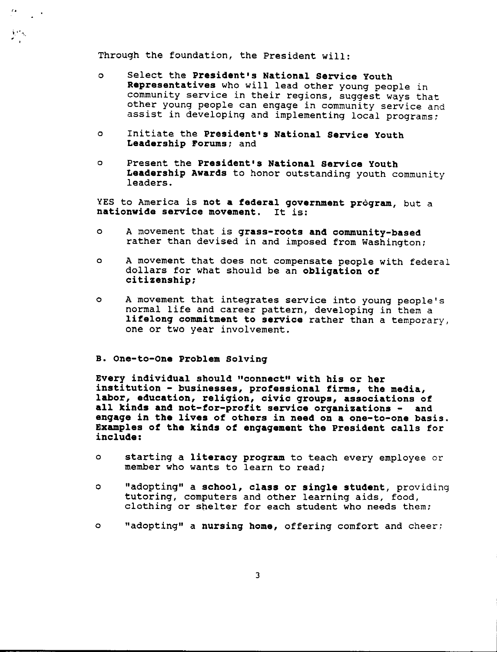Through the foundation, the President will:

 $\mathcal{C} \subset \mathbb{R}^4$ 

- o Select the **President•s National service Youth Representatives** who will lead other young people in community service in their regions, suggest ways that other young people can engage in community service and assist in developing and implementing local programs;
- o Initiate the **President's National service Youth Leadership Forums;** and
- o Present the **President•s National service Youth Leadership Awards** to honor outstanding youth community leaders.

YES to America is **not a federal government program,** but a **nationwide service movement.** It is:

- o A movement that is **grass-roots and community-based**  rather than devised in and imposed from Washington;
- o A movement that does not compensate people with federal dollars for what should be an **obligation of citizenship;**
- o A movement that integrates service into young people's normal life and career pattern, developing in them a **lifelong commitment to service** rather than a temporary, one or two year involvement.

### **B. One-to-one Problem Solving**

Every individual should "connect" with his or her institution - **businesses, professional firms, the media, labor, education, religion, civic groups, associations of**  all **kinds and** not-for-profit **service** organizations - and **engage in the lives of others in need on a one-to-one basis. Examples of the kinds of engagement the President calls** for **include:** 

- o starting a **literacy program** to teach every employee or member who wants to learn to read;
- o "adopting" a **school, class or single student,** providing tutoring, computers and other learning aids, food, clothing or shelter for each student who needs them;
- o "adopting" a **nursing home,** offering comfort and cheer;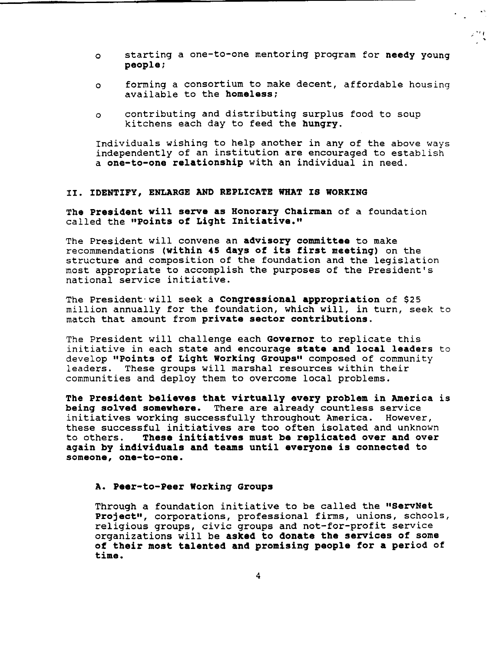o starting a one-to-one mentoring program for **needy** young **people;** 

2019.

- o forming a consortium to make decent, affordable housing available to the **homeless;**
- <sup>0</sup>contributing and distributing surplus food to soup kitchens each day to feed the **hungry.**

Individuals wishing to help another in any of the above ways independently of an institution are encouraged to establish a **one-to-one relationship** with an individual in need.

## II. **IDENTIFY, ENLARGE AND REPLICATE WHAT IS WORKING**

**The President will serve as Honorary Chairman** of a foundation called the **"Points of Light Initiative."** 

The President will convene an **advisory committee** to make recommendations **(within 45 days of its first meeting)** on the structure and composition of the foundation and the legislation most appropriate to accomplish the purposes of the President's national service initiative.

The President·will seek a **Congressional appropriation** of \$25 million annually for the foundation, which will, in turn, seek to match that amount from **private sector contributions.** 

The President will challenge each **Governor** to replicate this initiative in each state and encourage **state and local leaders** to develop **"Points of Light Working Groups"** composed of community leaders. These groups will marshal resources within their communities and deploy them to overcome local problems.

**The President believes that virtually every problem in America is being solved somewhere.** There are already countless service initiatives working successfully throughout America. However, these successful initiatives are too often isolated and unknown to others. **These initiatives must be replicated over and over again by individuals and teams** until **everyone is connected** to **someone, one-to-one.** 

# **A. Peer-to-Peer Working Groups**

Through a foundation initiative to be called the **<sup>11</sup> servNet Project",** corporations, professional firms, unions, schools, religious groups, civic groups and not-for-profit service organizations will be **asked to donate the services of some of their most talented and promising people for a period** of **time.**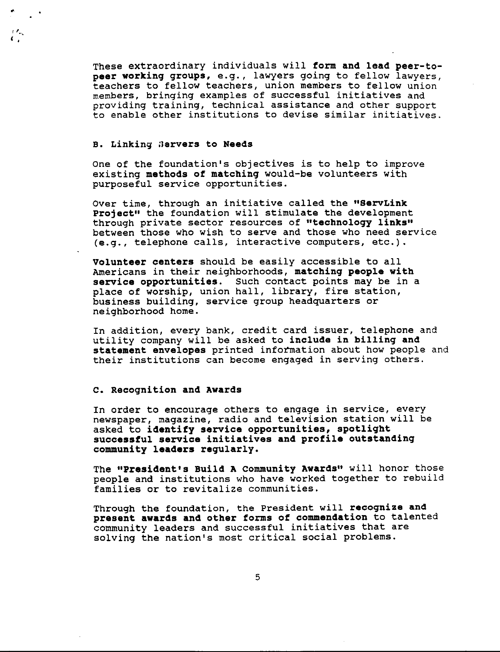These extraordinary individuals will **form and lead peer-topeer working groups,** e.g., lawyers going to fellow lawyers, teachers to fellow teachers, union members to fellow union members, bringing examples of successful initiatives and providing training, technical assistance and other suppor to enable other institutions to devise similar initiatives.

## **B. Linking aervers to Needs**

•

One of the foundation's objectives is to help to improve existing **methods of matching** would-be volunteers with purposeful service opportunities.

Over time, through an initiative called the **"ServLink Project"** the foundation will stimulate the development through private sector resources of **"technology links"**  between those who wish to serve and those who need service (e.g., telephone calls, interactive computers, etc.).

**Volunteer centers** should be easily accessible to all Americans in their neighborhoods, **matching people with service opportunities.** Such contact points may be in a place of worship, union hall, library, fire station, business building, service group headquarters or neighborhood home.

In addition, every bank, credit card issuer, telephone and utility company will be asked to **include in billing and statement envelopes** printed information about how people and their institutions can become engaged in serving others.

# **c. Recognition and Awards**

In order to encourage others to engage in service, every newspaper, magazine, radio and television station will be asked to **identify service opportunities, spotlight successful service initiatives and profile outstanding community leaders regularly.** 

The **"President•s Build A community Awards"** will honor those people and institutions who have worked together to rebuild families or to revitalize communities.

Through the foundation, the President will **recognize and present awards and other forms of commendation** to talented community leaders and successful initiatives that are solving the nation's most critical social problems.